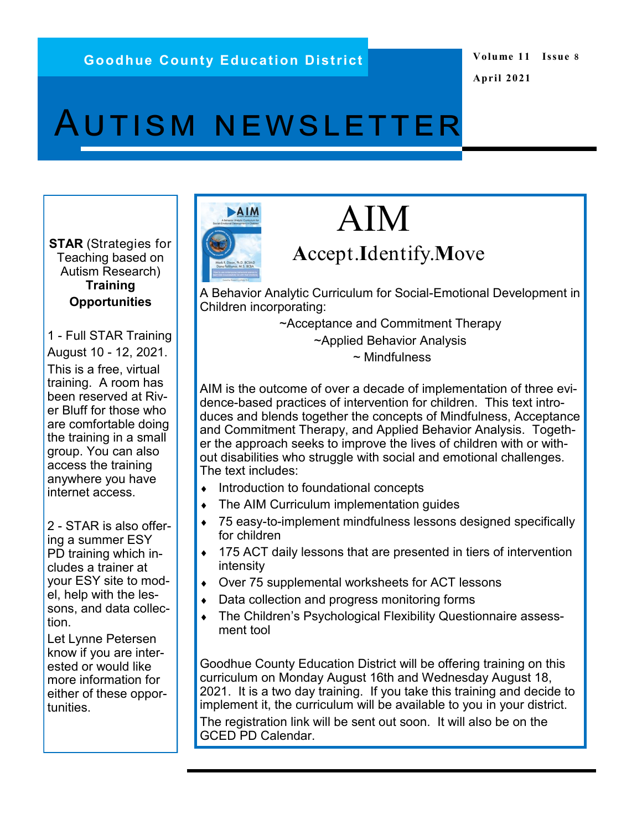## **Volume 11 Issue 8 April 2021**

# Autism newsletter

**STAR** (Strategies for Teaching based on Autism Research) **Training Opportunities**

1 - Full STAR Training August 10 - 12, 2021. This is a free, virtual training. A room has been reserved at River Bluff for those who are comfortable doing the training in a small group. You can also access the training anywhere you have internet access.

2 - STAR is also offering a summer ESY PD training which includes a trainer at your ESY site to model, help with the lessons, and data collection.

Let Lynne Petersen know if you are interested or would like more information for either of these opportunities.

# AIM

# AIM

# **<sup>A</sup>**ccept.**I**dentify.**M**ove

A Behavior Analytic Curriculum for Social-Emotional Development in Children incorporating:

~Acceptance and Commitment Therapy

~Applied Behavior Analysis

~ Mindfulness

AIM is the outcome of over a decade of implementation of three evidence-based practices of intervention for children. This text introduces and blends together the concepts of Mindfulness, Acceptance and Commitment Therapy, and Applied Behavior Analysis. Together the approach seeks to improve the lives of children with or without disabilities who struggle with social and emotional challenges. The text includes:

- $\bullet$  Introduction to foundational concepts
- The AIM Curriculum implementation guides
- 75 easy-to-implement mindfulness lessons designed specifically for children
- ◆ 175 ACT daily lessons that are presented in tiers of intervention intensity
- Over 75 supplemental worksheets for ACT lessons
- Data collection and progress monitoring forms
- The Children's Psychological Flexibility Questionnaire assessment tool

Goodhue County Education District will be offering training on this curriculum on Monday August 16th and Wednesday August 18, 2021. It is a two day training. If you take this training and decide to implement it, the curriculum will be available to you in your district. The registration link will be sent out soon. It will also be on the GCED PD Calendar.